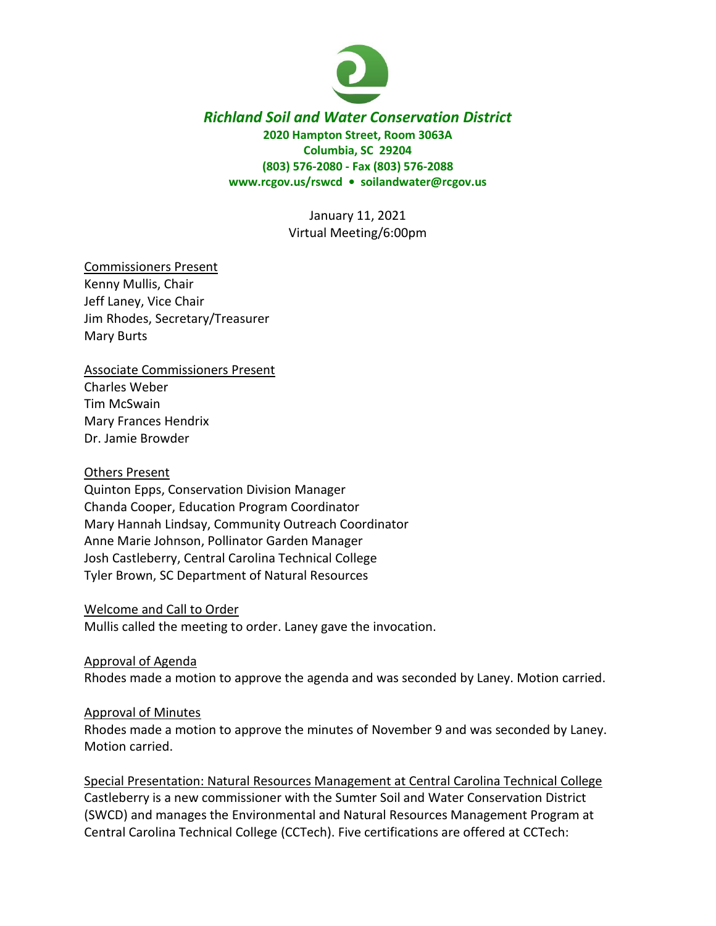

# *Richland Soil and Water Conservation District* **2020 Hampton Street, Room 3063A Columbia, SC 29204 (803) 576-2080 - Fax (803) 576-2088 www.rcgov.us/rswcd • soilandwater@rcgov.us**

January 11, 2021 Virtual Meeting/6:00pm

Commissioners Present Kenny Mullis, Chair Jeff Laney, Vice Chair Jim Rhodes, Secretary/Treasurer Mary Burts

Associate Commissioners Present Charles Weber Tim McSwain Mary Frances Hendrix Dr. Jamie Browder

#### Others Present

Quinton Epps, Conservation Division Manager Chanda Cooper, Education Program Coordinator Mary Hannah Lindsay, Community Outreach Coordinator Anne Marie Johnson, Pollinator Garden Manager Josh Castleberry, Central Carolina Technical College Tyler Brown, SC Department of Natural Resources

Welcome and Call to Order Mullis called the meeting to order. Laney gave the invocation.

Approval of Agenda

Rhodes made a motion to approve the agenda and was seconded by Laney. Motion carried.

#### Approval of Minutes

Rhodes made a motion to approve the minutes of November 9 and was seconded by Laney. Motion carried.

Special Presentation: Natural Resources Management at Central Carolina Technical College Castleberry is a new commissioner with the Sumter Soil and Water Conservation District (SWCD) and manages the Environmental and Natural Resources Management Program at Central Carolina Technical College (CCTech). Five certifications are offered at CCTech: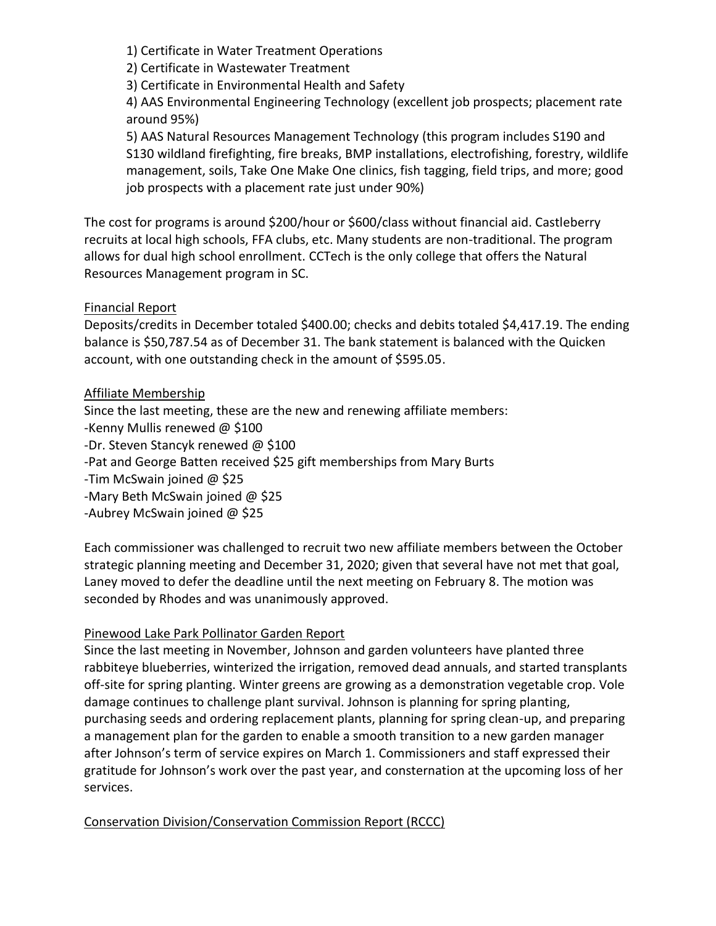1) Certificate in Water Treatment Operations

2) Certificate in Wastewater Treatment

3) Certificate in Environmental Health and Safety

4) AAS Environmental Engineering Technology (excellent job prospects; placement rate around 95%)

5) AAS Natural Resources Management Technology (this program includes S190 and S130 wildland firefighting, fire breaks, BMP installations, electrofishing, forestry, wildlife management, soils, Take One Make One clinics, fish tagging, field trips, and more; good job prospects with a placement rate just under 90%)

The cost for programs is around \$200/hour or \$600/class without financial aid. Castleberry recruits at local high schools, FFA clubs, etc. Many students are non-traditional. The program allows for dual high school enrollment. CCTech is the only college that offers the Natural Resources Management program in SC.

### Financial Report

Deposits/credits in December totaled \$400.00; checks and debits totaled \$4,417.19. The ending balance is \$50,787.54 as of December 31. The bank statement is balanced with the Quicken account, with one outstanding check in the amount of \$595.05.

### Affiliate Membership

Since the last meeting, these are the new and renewing affiliate members: -Kenny Mullis renewed @ \$100 -Dr. Steven Stancyk renewed @ \$100 -Pat and George Batten received \$25 gift memberships from Mary Burts -Tim McSwain joined @ \$25 -Mary Beth McSwain joined @ \$25 -Aubrey McSwain joined @ \$25

Each commissioner was challenged to recruit two new affiliate members between the October strategic planning meeting and December 31, 2020; given that several have not met that goal, Laney moved to defer the deadline until the next meeting on February 8. The motion was seconded by Rhodes and was unanimously approved.

# Pinewood Lake Park Pollinator Garden Report

Since the last meeting in November, Johnson and garden volunteers have planted three rabbiteye blueberries, winterized the irrigation, removed dead annuals, and started transplants off-site for spring planting. Winter greens are growing as a demonstration vegetable crop. Vole damage continues to challenge plant survival. Johnson is planning for spring planting, purchasing seeds and ordering replacement plants, planning for spring clean-up, and preparing a management plan for the garden to enable a smooth transition to a new garden manager after Johnson's term of service expires on March 1. Commissioners and staff expressed their gratitude for Johnson's work over the past year, and consternation at the upcoming loss of her services.

# Conservation Division/Conservation Commission Report (RCCC)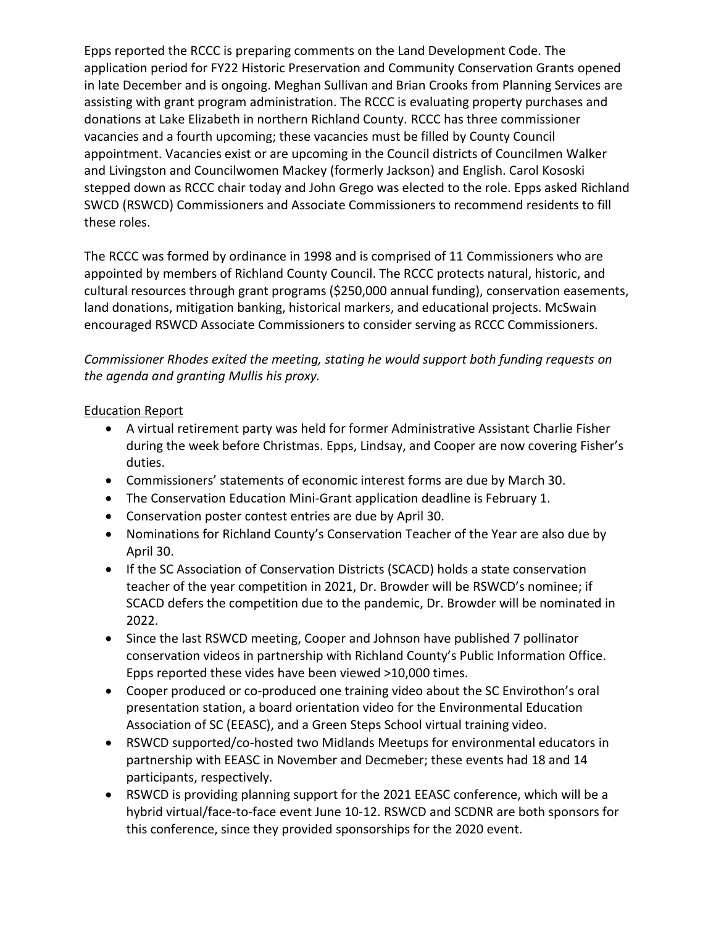Epps reported the RCCC is preparing comments on the Land Development Code. The application period for FY22 Historic Preservation and Community Conservation Grants opened in late December and is ongoing. Meghan Sullivan and Brian Crooks from Planning Services are assisting with grant program administration. The RCCC is evaluating property purchases and donations at Lake Elizabeth in northern Richland County. RCCC has three commissioner vacancies and a fourth upcoming; these vacancies must be filled by County Council appointment. Vacancies exist or are upcoming in the Council districts of Councilmen Walker and Livingston and Councilwomen Mackey (formerly Jackson) and English. Carol Kososki stepped down as RCCC chair today and John Grego was elected to the role. Epps asked Richland SWCD (RSWCD) Commissioners and Associate Commissioners to recommend residents to fill these roles.

The RCCC was formed by ordinance in 1998 and is comprised of 11 Commissioners who are appointed by members of Richland County Council. The RCCC protects natural, historic, and cultural resources through grant programs (\$250,000 annual funding), conservation easements, land donations, mitigation banking, historical markers, and educational projects. McSwain encouraged RSWCD Associate Commissioners to consider serving as RCCC Commissioners.

*Commissioner Rhodes exited the meeting, stating he would support both funding requests on the agenda and granting Mullis his proxy.* 

### Education Report

- A virtual retirement party was held for former Administrative Assistant Charlie Fisher during the week before Christmas. Epps, Lindsay, and Cooper are now covering Fisher's duties.
- Commissioners' statements of economic interest forms are due by March 30.
- The Conservation Education Mini-Grant application deadline is February 1.
- Conservation poster contest entries are due by April 30.
- Nominations for Richland County's Conservation Teacher of the Year are also due by April 30.
- If the SC Association of Conservation Districts (SCACD) holds a state conservation teacher of the year competition in 2021, Dr. Browder will be RSWCD's nominee; if SCACD defers the competition due to the pandemic, Dr. Browder will be nominated in 2022.
- Since the last RSWCD meeting, Cooper and Johnson have published 7 pollinator conservation videos in partnership with Richland County's Public Information Office. Epps reported these vides have been viewed >10,000 times.
- Cooper produced or co-produced one training video about the SC Envirothon's oral presentation station, a board orientation video for the Environmental Education Association of SC (EEASC), and a Green Steps School virtual training video.
- RSWCD supported/co-hosted two Midlands Meetups for environmental educators in partnership with EEASC in November and Decmeber; these events had 18 and 14 participants, respectively.
- RSWCD is providing planning support for the 2021 EEASC conference, which will be a hybrid virtual/face-to-face event June 10-12. RSWCD and SCDNR are both sponsors for this conference, since they provided sponsorships for the 2020 event.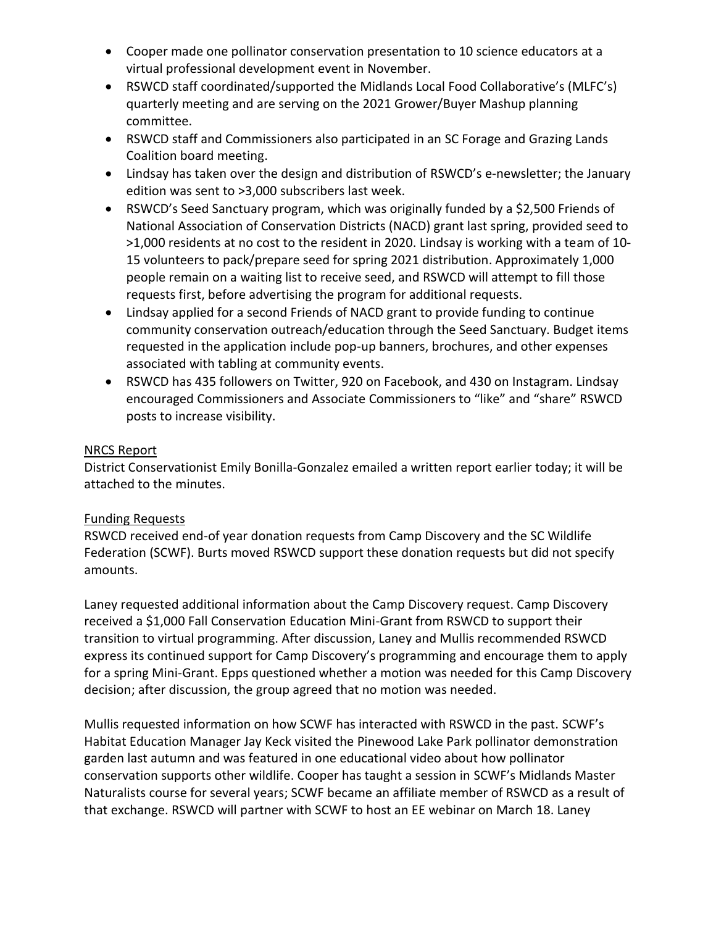- Cooper made one pollinator conservation presentation to 10 science educators at a virtual professional development event in November.
- RSWCD staff coordinated/supported the Midlands Local Food Collaborative's (MLFC's) quarterly meeting and are serving on the 2021 Grower/Buyer Mashup planning committee.
- RSWCD staff and Commissioners also participated in an SC Forage and Grazing Lands Coalition board meeting.
- Lindsay has taken over the design and distribution of RSWCD's e-newsletter; the January edition was sent to >3,000 subscribers last week.
- RSWCD's Seed Sanctuary program, which was originally funded by a \$2,500 Friends of National Association of Conservation Districts (NACD) grant last spring, provided seed to >1,000 residents at no cost to the resident in 2020. Lindsay is working with a team of 10- 15 volunteers to pack/prepare seed for spring 2021 distribution. Approximately 1,000 people remain on a waiting list to receive seed, and RSWCD will attempt to fill those requests first, before advertising the program for additional requests.
- Lindsay applied for a second Friends of NACD grant to provide funding to continue community conservation outreach/education through the Seed Sanctuary. Budget items requested in the application include pop-up banners, brochures, and other expenses associated with tabling at community events.
- RSWCD has 435 followers on Twitter, 920 on Facebook, and 430 on Instagram. Lindsay encouraged Commissioners and Associate Commissioners to "like" and "share" RSWCD posts to increase visibility.

### NRCS Report

District Conservationist Emily Bonilla-Gonzalez emailed a written report earlier today; it will be attached to the minutes.

# Funding Requests

RSWCD received end-of year donation requests from Camp Discovery and the SC Wildlife Federation (SCWF). Burts moved RSWCD support these donation requests but did not specify amounts.

Laney requested additional information about the Camp Discovery request. Camp Discovery received a \$1,000 Fall Conservation Education Mini-Grant from RSWCD to support their transition to virtual programming. After discussion, Laney and Mullis recommended RSWCD express its continued support for Camp Discovery's programming and encourage them to apply for a spring Mini-Grant. Epps questioned whether a motion was needed for this Camp Discovery decision; after discussion, the group agreed that no motion was needed.

Mullis requested information on how SCWF has interacted with RSWCD in the past. SCWF's Habitat Education Manager Jay Keck visited the Pinewood Lake Park pollinator demonstration garden last autumn and was featured in one educational video about how pollinator conservation supports other wildlife. Cooper has taught a session in SCWF's Midlands Master Naturalists course for several years; SCWF became an affiliate member of RSWCD as a result of that exchange. RSWCD will partner with SCWF to host an EE webinar on March 18. Laney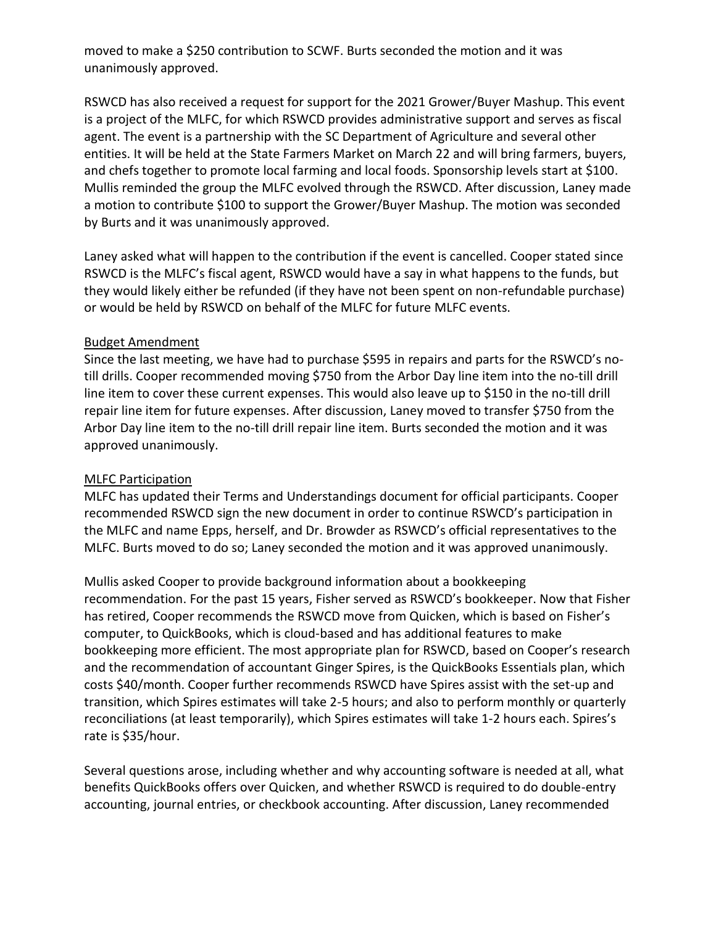moved to make a \$250 contribution to SCWF. Burts seconded the motion and it was unanimously approved.

RSWCD has also received a request for support for the 2021 Grower/Buyer Mashup. This event is a project of the MLFC, for which RSWCD provides administrative support and serves as fiscal agent. The event is a partnership with the SC Department of Agriculture and several other entities. It will be held at the State Farmers Market on March 22 and will bring farmers, buyers, and chefs together to promote local farming and local foods. Sponsorship levels start at \$100. Mullis reminded the group the MLFC evolved through the RSWCD. After discussion, Laney made a motion to contribute \$100 to support the Grower/Buyer Mashup. The motion was seconded by Burts and it was unanimously approved.

Laney asked what will happen to the contribution if the event is cancelled. Cooper stated since RSWCD is the MLFC's fiscal agent, RSWCD would have a say in what happens to the funds, but they would likely either be refunded (if they have not been spent on non-refundable purchase) or would be held by RSWCD on behalf of the MLFC for future MLFC events.

### Budget Amendment

Since the last meeting, we have had to purchase \$595 in repairs and parts for the RSWCD's notill drills. Cooper recommended moving \$750 from the Arbor Day line item into the no-till drill line item to cover these current expenses. This would also leave up to \$150 in the no-till drill repair line item for future expenses. After discussion, Laney moved to transfer \$750 from the Arbor Day line item to the no-till drill repair line item. Burts seconded the motion and it was approved unanimously.

# MLFC Participation

MLFC has updated their Terms and Understandings document for official participants. Cooper recommended RSWCD sign the new document in order to continue RSWCD's participation in the MLFC and name Epps, herself, and Dr. Browder as RSWCD's official representatives to the MLFC. Burts moved to do so; Laney seconded the motion and it was approved unanimously.

Mullis asked Cooper to provide background information about a bookkeeping recommendation. For the past 15 years, Fisher served as RSWCD's bookkeeper. Now that Fisher has retired, Cooper recommends the RSWCD move from Quicken, which is based on Fisher's computer, to QuickBooks, which is cloud-based and has additional features to make bookkeeping more efficient. The most appropriate plan for RSWCD, based on Cooper's research and the recommendation of accountant Ginger Spires, is the QuickBooks Essentials plan, which costs \$40/month. Cooper further recommends RSWCD have Spires assist with the set-up and transition, which Spires estimates will take 2-5 hours; and also to perform monthly or quarterly reconciliations (at least temporarily), which Spires estimates will take 1-2 hours each. Spires's rate is \$35/hour.

Several questions arose, including whether and why accounting software is needed at all, what benefits QuickBooks offers over Quicken, and whether RSWCD is required to do double-entry accounting, journal entries, or checkbook accounting. After discussion, Laney recommended